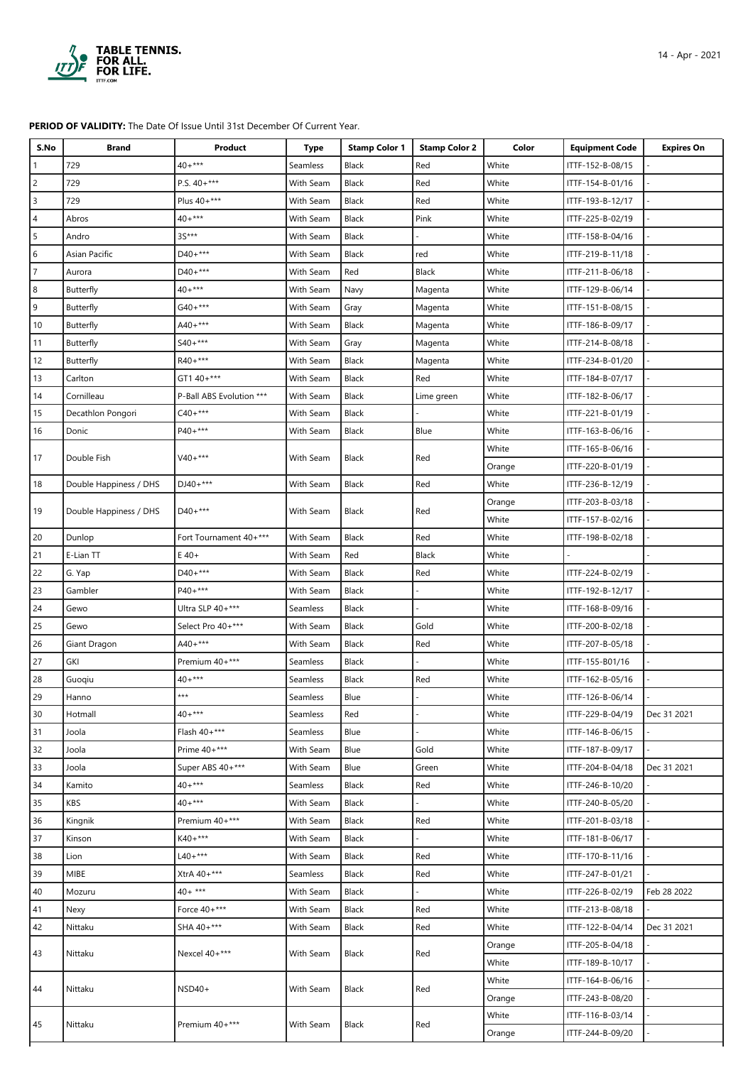

## **PERIOD OF VALIDITY:** The Date Of Issue Until 31st December Of Current Year.

| S.No           | <b>Brand</b>           | Product                  | <b>Type</b> | <b>Stamp Color 1</b> | <b>Stamp Color 2</b> | Color  | <b>Equipment Code</b> | <b>Expires On</b> |
|----------------|------------------------|--------------------------|-------------|----------------------|----------------------|--------|-----------------------|-------------------|
|                | 729                    | $40+***$                 | Seamless    | <b>Black</b>         | Red                  | White  | ITTF-152-B-08/15      |                   |
| $\overline{c}$ | 729                    | P.S. $40+***$            | With Seam   | Black                | Red                  | White  | ITTF-154-B-01/16      |                   |
| 3              | 729                    | Plus 40+***              | With Seam   | Black                | Red                  | White  | ITTF-193-B-12/17      |                   |
| 4              | Abros                  | $40+***$                 | With Seam   | Black                | Pink                 | White  | ITTF-225-B-02/19      |                   |
| 5              | Andro                  | 3S***                    | With Seam   | Black                |                      | White  | ITTF-158-B-04/16      |                   |
| 6              | Asian Pacific          | $D40+***$                | With Seam   | Black                | red                  | White  | ITTF-219-B-11/18      |                   |
| 7              | Aurora                 | $D40+***$                | With Seam   | Red                  | Black                | White  | ITTF-211-B-06/18      |                   |
| 8              | Butterfly              | $40+***$                 | With Seam   | Navy                 | Magenta              | White  | ITTF-129-B-06/14      |                   |
| 9              | Butterfly              | $G40+***$                | With Seam   | Gray                 | Magenta              | White  | ITTF-151-B-08/15      |                   |
| 10             | Butterfly              | $A40+***$                | With Seam   | Black                | Magenta              | White  | ITTF-186-B-09/17      |                   |
| 11             | Butterfly              | $S40+***$                | With Seam   | Gray                 | Magenta              | White  | ITTF-214-B-08/18      |                   |
| 12             | Butterfly              | R40+***                  | With Seam   | Black                | Magenta              | White  | ITTF-234-B-01/20      |                   |
| 13             | Carlton                | GT1 40+***               | With Seam   | Black                | Red                  | White  | ITTF-184-B-07/17      |                   |
| 14             | Cornilleau             | P-Ball ABS Evolution *** | With Seam   | Black                | Lime green           | White  | ITTF-182-B-06/17      |                   |
| 15             | Decathlon Pongori      | $C40+***$                | With Seam   | Black                |                      | White  | ITTF-221-B-01/19      |                   |
| 16             | Donic                  | P40+***                  | With Seam   | Black                | Blue                 | White  | ITTF-163-B-06/16      |                   |
| 17             | Double Fish            | $V40+***$                | With Seam   | <b>Black</b>         | Red                  | White  | ITTF-165-B-06/16      |                   |
|                |                        |                          |             |                      |                      | Orange | ITTF-220-B-01/19      |                   |
| 18             | Double Happiness / DHS | $DJ40+***$               | With Seam   | <b>Black</b>         | Red                  | White  | ITTF-236-B-12/19      |                   |
| 19             | Double Happiness / DHS | D40+***                  | With Seam   | Black                | Red                  | Orange | ITTF-203-B-03/18      |                   |
|                |                        |                          |             |                      |                      | White  | ITTF-157-B-02/16      |                   |
| 20             | Dunlop                 | Fort Tournament 40+***   | With Seam   | Black                | Red                  | White  | ITTF-198-B-02/18      |                   |
| 21             | E-Lian TT              | $E$ 40+                  | With Seam   | Red                  | Black                | White  |                       |                   |
| 22             | G. Yap                 | $D40+***$                | With Seam   | Black                | Red                  | White  | ITTF-224-B-02/19      |                   |
| 23             | Gambler                | P40+***                  | With Seam   | Black                |                      | White  | ITTF-192-B-12/17      |                   |
| 24             | Gewo                   | Ultra SLP 40+***         | Seamless    | <b>Black</b>         |                      | White  | ITTF-168-B-09/16      |                   |
| 25             | Gewo                   | Select Pro 40+***        | With Seam   | Black                | Gold                 | White  | ITTF-200-B-02/18      |                   |
| 26             | Giant Dragon           | $A40 +***$               | With Seam   | Black                | Red                  | White  | ITTF-207-B-05/18      |                   |
| 27             | GKI                    | Premium 40+***           | Seamless    | Black                |                      | White  | ITTF-155-B01/16       |                   |
| 28             | Guoqiu                 | $40+***$                 | Seamless    | Black                | Red                  | White  | ITTF-162-B-05/16      |                   |
| 29             | Hanno                  | ***                      | Seamless    | Blue                 |                      | White  | ITTF-126-B-06/14      |                   |
| 30             | Hotmall                | $40+***$                 | Seamless    | Red                  |                      | White  | ITTF-229-B-04/19      | Dec 31 2021       |
| 31             | Joola                  | Flash 40+***             | Seamless    | Blue                 |                      | White  | ITTF-146-B-06/15      |                   |
| 32             | Joola                  | Prime 40+***             | With Seam   | Blue                 | Gold                 | White  | ITTF-187-B-09/17      |                   |
| 33             | Joola                  | Super ABS 40+***         | With Seam   | Blue                 | Green                | White  | ITTF-204-B-04/18      | Dec 31 2021       |
| 34             | Kamito                 | $40+***$                 | Seamless    | Black                | Red                  | White  | ITTF-246-B-10/20      |                   |
| 35             | <b>KBS</b>             | $40+***$                 | With Seam   | Black                |                      | White  | ITTF-240-B-05/20      |                   |
| 36             | Kingnik                | Premium 40+***           | With Seam   | Black                | Red                  | White  | ITTF-201-B-03/18      |                   |
| 37             | Kinson                 | $K40+***$                | With Seam   | Black                |                      | White  | ITTF-181-B-06/17      |                   |
| 38             | Lion                   | $L40+***$                | With Seam   | Black                | Red                  | White  | ITTF-170-B-11/16      |                   |
| 39             | MIBE                   | XtrA 40+***              | Seamless    | Black                | Red                  | White  | ITTF-247-B-01/21      |                   |
| 40             | Mozuru                 | $40+***$                 | With Seam   | Black                |                      | White  | ITTF-226-B-02/19      | Feb 28 2022       |
| 41             | Nexy                   | Force 40+***             | With Seam   | Black                | Red                  | White  | ITTF-213-B-08/18      |                   |
| 42             | Nittaku                | SHA 40+***               | With Seam   | Black                | Red                  | White  | ITTF-122-B-04/14      | Dec 31 2021       |
| 43             | Nittaku                | Nexcel 40+***            | With Seam   | <b>Black</b>         | Red                  | Orange | ITTF-205-B-04/18      |                   |
|                |                        |                          |             |                      |                      | White  | ITTF-189-B-10/17      |                   |
| 44             | Nittaku                | $NSD40+$                 | With Seam   | Black                | Red                  | White  | ITTF-164-B-06/16      |                   |
|                |                        |                          |             |                      |                      | Orange | ITTF-243-B-08/20      |                   |
| 45             | Nittaku                | Premium 40+***           | With Seam   | <b>Black</b>         | Red                  | White  | ITTF-116-B-03/14      |                   |
|                |                        |                          |             |                      |                      | Orange | ITTF-244-B-09/20      |                   |